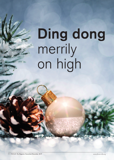# **Ding dong** merrily on high